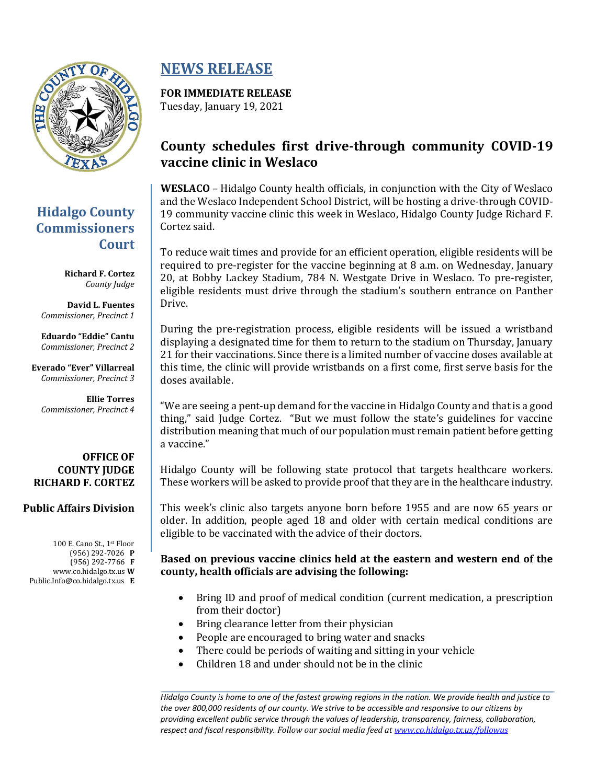

# **Hidalgo County Commissioners Court**

**Richard F. Cortez** *County Judge*

**David L. Fuentes** *Commissioner, Precinct 1*

**Eduardo "Eddie" Cantu** *Commissioner, Precinct 2*

**Everado "Ever" Villarreal** *Commissioner, Precinct 3*

**Ellie Torres** *Commissioner, Precinct 4*

#### **OFFICE OF COUNTY JUDGE RICHARD F. CORTEZ**

#### **Public Affairs Division**

100 E. Cano St., 1st Floor (956) 292-7026 **P** (956) 292-7766 **F** www.co.hidalgo.tx.us **W** Public.Info@co.hidalgo.tx.us **E**

# **NEWS RELEASE**

**FOR IMMEDIATE RELEASE** Tuesday, January 19, 2021

# **County schedules first drive-through community COVID-19 vaccine clinic in Weslaco**

**WESLACO** – Hidalgo County health officials, in conjunction with the City of Weslaco and the Weslaco Independent School District, will be hosting a drive-through COVID-19 community vaccine clinic this week in Weslaco, Hidalgo County Judge Richard F. Cortez said.

To reduce wait times and provide for an efficient operation, eligible residents will be required to pre-register for the vaccine beginning at 8 a.m. on Wednesday, January 20, at Bobby Lackey Stadium, 784 N. Westgate Drive in Weslaco. To pre-register, eligible residents must drive through the stadium's southern entrance on Panther Drive.

During the pre-registration process, eligible residents will be issued a wristband displaying a designated time for them to return to the stadium on Thursday, January 21 for their vaccinations. Since there is a limited number of vaccine doses available at this time, the clinic will provide wristbands on a first come, first serve basis for the doses available.

"We are seeing a pent-up demand for the vaccine in Hidalgo County and that is a good thing," said Judge Cortez. "But we must follow the state's guidelines for vaccine distribution meaning that much of our population must remain patient before getting a vaccine."

Hidalgo County will be following state protocol that targets healthcare workers. These workers will be asked to provide proof that they are in the healthcare industry.

This week's clinic also targets anyone born before 1955 and are now 65 years or older. In addition, people aged 18 and older with certain medical conditions are eligible to be vaccinated with the advice of their doctors.

#### **Based on previous vaccine clinics held at the eastern and western end of the county, health officials are advising the following:**

- Bring ID and proof of medical condition (current medication, a prescription from their doctor)
- Bring clearance letter from their physician
- People are encouraged to bring water and snacks
- There could be periods of waiting and sitting in your vehicle
- Children 18 and under should not be in the clinic

*Hidalgo County is home to one of the fastest growing regions in the nation. We provide health and justice to the over 800,000 residents of our county. We strive to be accessible and responsive to our citizens by providing excellent public service through the values of leadership, transparency, fairness, collaboration, respect and fiscal responsibility. Follow our social media feed at [www.co.hidalgo.tx.us/followus](http://www.co.hidalgo.tx.us/followus)*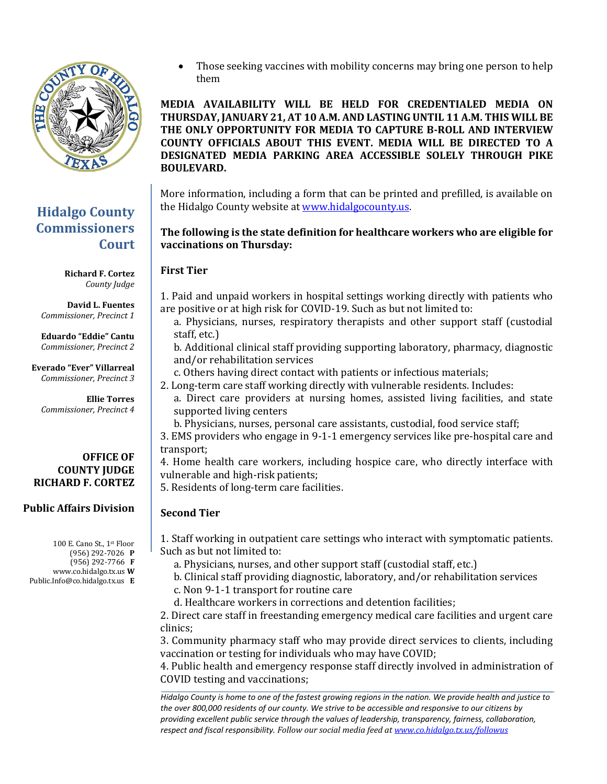

## **Hidalgo County Commissioners Court**

**Richard F. Cortez** *County Judge*

**David L. Fuentes** *Commissioner, Precinct 1*

**Eduardo "Eddie" Cantu** *Commissioner, Precinct 2*

**Everado "Ever" Villarreal** *Commissioner, Precinct 3*

**Ellie Torres** *Commissioner, Precinct 4*

#### **OFFICE OF COUNTY JUDGE RICHARD F. CORTEZ**

#### **Public Affairs Division**

100 E. Cano St., 1st Floor (956) 292-7026 **P** (956) 292-7766 **F** www.co.hidalgo.tx.us **W** Public.Info@co.hidalgo.tx.us **E**  Those seeking vaccines with mobility concerns may bring one person to help them

**MEDIA AVAILABILITY WILL BE HELD FOR CREDENTIALED MEDIA ON THURSDAY, JANUARY 21, AT 10 A.M. AND LASTING UNTIL 11 A.M. THIS WILL BE THE ONLY OPPORTUNITY FOR MEDIA TO CAPTURE B-ROLL AND INTERVIEW COUNTY OFFICIALS ABOUT THIS EVENT. MEDIA WILL BE DIRECTED TO A DESIGNATED MEDIA PARKING AREA ACCESSIBLE SOLELY THROUGH PIKE BOULEVARD.** 

More information, including a form that can be printed and prefilled, is available on the Hidalgo County website at [www.hidalgocounty.us.](http://www.hidalgocounty.us/)

#### **The following is the state definition for healthcare workers who are eligible for vaccinations on Thursday:**

### **First Tier**

1. Paid and unpaid workers in hospital settings working directly with patients who are positive or at high risk for COVID-19. Such as but not limited to:

a. Physicians, nurses, respiratory therapists and other support staff (custodial staff, etc.)

b. Additional clinical staff providing supporting laboratory, pharmacy, diagnostic and/or rehabilitation services

- c. Others having direct contact with patients or infectious materials;
- 2. Long-term care staff working directly with vulnerable residents. Includes:
	- a. Direct care providers at nursing homes, assisted living facilities, and state supported living centers
	- b. Physicians, nurses, personal care assistants, custodial, food service staff;

3. EMS providers who engage in 9-1-1 emergency services like pre-hospital care and transport;

4. Home health care workers, including hospice care, who directly interface with vulnerable and high-risk patients;

5. Residents of long-term care facilities.

### **Second Tier**

1. Staff working in outpatient care settings who interact with symptomatic patients. Such as but not limited to:

a. Physicians, nurses, and other support staff (custodial staff, etc.)

b. Clinical staff providing diagnostic, laboratory, and/or rehabilitation services

- c. Non 9-1-1 transport for routine care
- d. Healthcare workers in corrections and detention facilities;

2. Direct care staff in freestanding emergency medical care facilities and urgent care clinics;

3. Community pharmacy staff who may provide direct services to clients, including vaccination or testing for individuals who may have COVID;

4. Public health and emergency response staff directly involved in administration of COVID testing and vaccinations;

*Hidalgo County is home to one of the fastest growing regions in the nation. We provide health and justice to the over 800,000 residents of our county. We strive to be accessible and responsive to our citizens by providing excellent public service through the values of leadership, transparency, fairness, collaboration, respect and fiscal responsibility. Follow our social media feed at [www.co.hidalgo.tx.us/followus](http://www.co.hidalgo.tx.us/followus)*